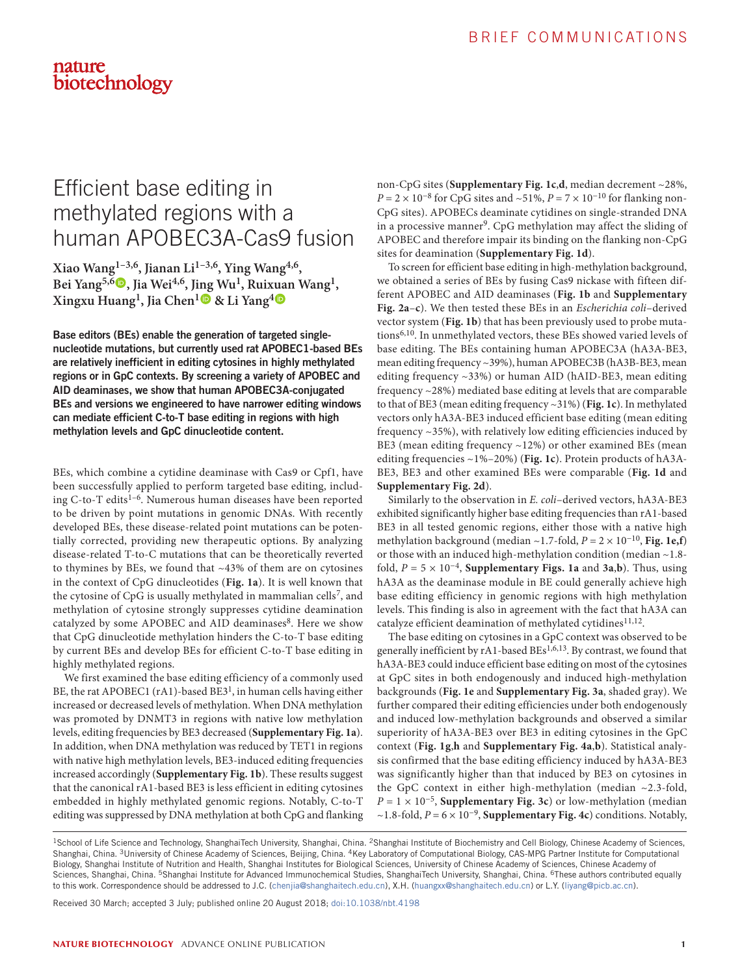# Efficient base editing in methylated regions with a human APOBEC3A-Cas9 fusion

**Xiao Wang1–3,6, Jianan Li1–3,6, Ying Wang4,6, Bei Yang5,6 [,](http://orcid.org/0000-0001-5389-3859) Jia Wei4,6, Jing Wu1, Ruixuan Wang1, Xingxu Huang1, Jia Chen[1](http://orcid.org/0000-0002-4242-2899) & Li Yang[4](http://orcid.org/0000-0001-8833-7473)**

Base editors (BEs) enable the generation of targeted singlenucleotide mutations, but currently used rat APOBEC1-based BEs are relatively inefficient in editing cytosines in highly methylated regions or in GpC contexts. By screening a variety of APOBEC and AID deaminases, we show that human APOBEC3A-conjugated BEs and versions we engineered to have narrower editing windows can mediate efficient C-to-T base editing in regions with high methylation levels and GpC dinucleotide content.

BEs, which combine a cytidine deaminase with Cas9 or Cpf1, have been successfully applied to perform targeted base editing, including C-to-T edits<sup>1-6</sup>. Numerous human diseases have been reported to be driven by point mutations in genomic DNAs. With recently developed BEs, these disease-related point mutations can be potentially corrected, providing new therapeutic options. By analyzing disease-related T-to-C mutations that can be theoretically reverted to thymines by BEs, we found that ~43% of them are on cytosines in the context of CpG dinucleotides (**[Fig. 1a](#page-1-0)**). It is well known that the cytosine of CpG is usually methylated in mammalian cells<sup>[7](#page-3-2)</sup>, and methylation of cytosine strongly suppresses cytidine deamination catalyzed by some APOBEC and AID deaminases<sup>[8](#page-3-3)</sup>. Here we show that CpG dinucleotide methylation hinders the C-to-T base editing by current BEs and develop BEs for efficient C-to-T base editing in highly methylated regions.

We first examined the base editing efficiency of a commonly used BE, the rat APOBEC[1](#page-3-0) ( $rA1$ )-based BE3<sup>1</sup>, in human cells having either increased or decreased levels of methylation. When DNA methylation was promoted by DNMT3 in regions with native low methylation levels, editing frequencies by BE3 decreased (**Supplementary Fig. 1a**). In addition, when DNA methylation was reduced by TET1 in regions with native high methylation levels, BE3-induced editing frequencies increased accordingly (**Supplementary Fig. 1b**). These results suggest that the canonical rA1-based BE3 is less efficient in editing cytosines embedded in highly methylated genomic regions. Notably, C-to-T editing was suppressed by DNA methylation at both CpG and flanking

non-CpG sites (**Supplementary Fig. 1c**,**d**, median decrement ~28%,  $P = 2 \times 10^{-8}$  for CpG sites and ~51%,  $P = 7 \times 10^{-10}$  for flanking non-CpG sites). APOBECs deaminate cytidines on single-stranded DNA in a processive manner<sup>[9](#page-3-4)</sup>. CpG methylation may affect the sliding of APOBEC and therefore impair its binding on the flanking non-CpG sites for deamination (**Supplementary Fig. 1d**).

To screen for efficient base editing in high-methylation background, we obtained a series of BEs by fusing Cas9 nickase with fifteen different APOBEC and AID deaminases (**[Fig. 1b](#page-1-0)** and **Supplementary Fig. 2a**–**c**). We then tested these BEs in an *Escherichia coli*–derived vector system (**[Fig. 1b](#page-1-0)**) that has been previously used to probe muta-tions<sup>[6,](#page-3-1)10</sup>. In unmethylated vectors, these BEs showed varied levels of base editing. The BEs containing human APOBEC3A (hA3A-BE3, mean editing frequency ~39%), human APOBEC3B (hA3B-BE3, mean editing frequency ~33%) or human AID (hAID-BE3, mean editing frequency ~28%) mediated base editing at levels that are comparable to that of BE3 (mean editing frequency ~31%) (**[Fig. 1c](#page-1-0)**). In methylated vectors only hA3A-BE3 induced efficient base editing (mean editing frequency ~35%), with relatively low editing efficiencies induced by BE3 (mean editing frequency  $\sim$ 12%) or other examined BEs (mean editing frequencies ~1%–20%) (**[Fig. 1c](#page-1-0)**). Protein products of hA3A-BE3, BE3 and other examined BEs were comparable (**[Fig. 1d](#page-1-0)** and **Supplementary Fig. 2d**).

Similarly to the observation in *E. coli*–derived vectors, hA3A-BE3 exhibited significantly higher base editing frequencies than rA1-based BE3 in all tested genomic regions, either those with a native high methylation background (median ~1.7-fold,  $P = 2 \times 10^{-10}$ , **[Fig. 1e,f](#page-1-0)**) or those with an induced high-methylation condition (median ~1.8 fold,  $P = 5 \times 10^{-4}$ , **Supplementary Figs. 1a** and **3a**,**b**). Thus, using hA3A as the deaminase module in BE could generally achieve high base editing efficiency in genomic regions with high methylation levels. This finding is also in agreement with the fact that hA3A can catalyze efficient deamination of methylated cytidines<sup>[11,](#page-3-6)12</sup>.

The base editing on cytosines in a GpC context was observed to be generally inefficient by rA1-based BEs<sup>[1,](#page-3-0)[6,](#page-3-1)13</sup>. By contrast, we found that hA3A-BE3 could induce efficient base editing on most of the cytosines at GpC sites in both endogenously and induced high-methylation backgrounds (**[Fig. 1e](#page-1-0)** and **Supplementary Fig. 3a**, shaded gray). We further compared their editing efficiencies under both endogenously and induced low-methylation backgrounds and observed a similar superiority of hA3A-BE3 over BE3 in editing cytosines in the GpC context (**[Fig. 1g](#page-1-0)**,**h** and **Supplementary Fig. 4a**,**b**). Statistical analysis confirmed that the base editing efficiency induced by hA3A-BE3 was significantly higher than that induced by BE3 on cytosines in the GpC context in either high-methylation (median ~2.3-fold,  $P = 1 \times 10^{-5}$ , **Supplementary Fig. 3c**) or low-methylation (median ~1.8-fold, *P* = 6 × 10−9, **Supplementary Fig. 4c**) conditions. Notably,

Received 30 March; accepted 3 July; published online 20 August 2018; [doi:10.1038/nbt.4198](http://dx.doi.org/10.1038/nbt.4198)

<sup>1</sup>School of Life Science and Technology, ShanghaiTech University, Shanghai, China. <sup>2</sup>Shanghai Institute of Biochemistry and Cell Biology, Chinese Academy of Sciences, Shanghai, China. <sup>3</sup>University of Chinese Academy of Sciences, Beijing, China. <sup>4</sup>Key Laboratory of Computational Biology, CAS-MPG Partner Institute for Computational Biology, Shanghai Institute of Nutrition and Health, Shanghai Institutes for Biological Sciences, University of Chinese Academy of Sciences, Chinese Academy of Sciences, Shanghai, China. <sup>5</sup>Shanghai Institute for Advanced Immunochemical Studies, ShanghaiTech University, Shanghai, China. <sup>6</sup>These authors contributed equally to this work. Correspondence should be addressed to J.C. (chenjia@shanghaitech.edu.cn), X.H. (huangxx@shanghaitech.edu.cn) or L.Y. (liyang@picb.ac.cn).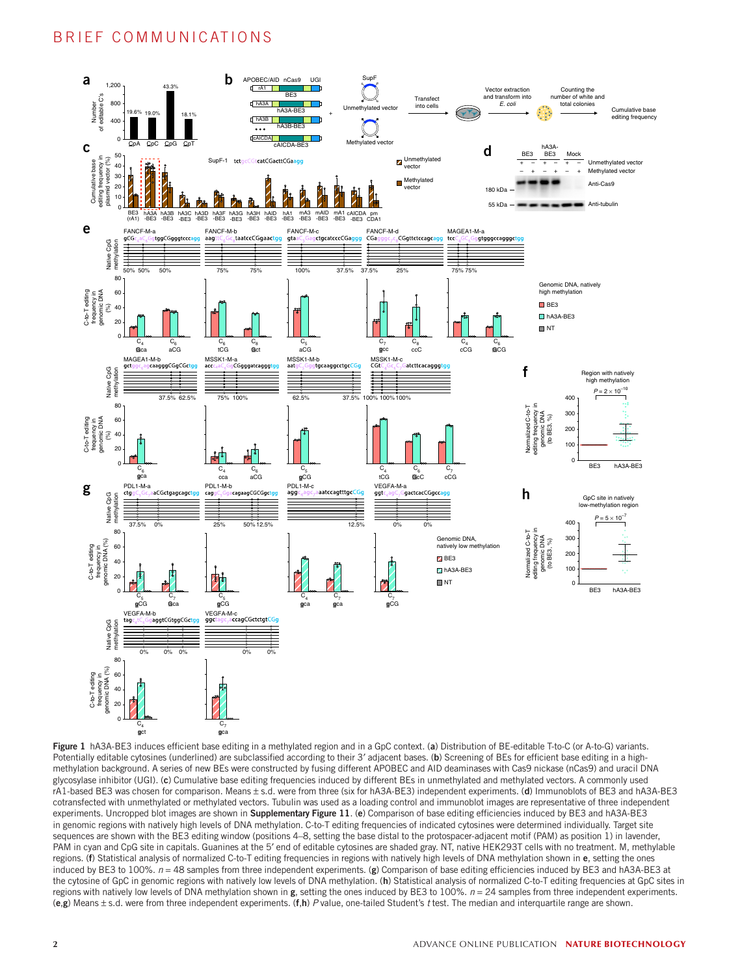# BRIEF COMMUNICATIONS



<span id="page-1-0"></span>Figure 1 hA3A-BE3 induces efficient base editing in a methylated region and in a GpC context. (a) Distribution of BE-editable T-to-C (or A-to-G) variants. Potentially editable cytosines (underlined) are subclassified according to their 3' adjacent bases. (b) Screening of BEs for efficient base editing in a highmethylation background. A series of new BEs were constructed by fusing different APOBEC and AID deaminases with Cas9 nickase (nCas9) and uracil DNA glycosylase inhibitor (UGI). (c) Cumulative base editing frequencies induced by different BEs in unmethylated and methylated vectors. A commonly used rA1-based BE3 was chosen for comparison. Means ± s.d. were from three (six for hA3A-BE3) independent experiments. (d) Immunoblots of BE3 and hA3A-BE3 cotransfected with unmethylated or methylated vectors. Tubulin was used as a loading control and immunoblot images are representative of three independent experiments. Uncropped blot images are shown in Supplementary Figure 11. (e) Comparison of base editing efficiencies induced by BE3 and hA3A-BE3 in genomic regions with natively high levels of DNA methylation. C-to-T editing frequencies of indicated cytosines were determined individually. Target site sequences are shown with the BE3 editing window (positions 4–8, setting the base distal to the protospacer-adjacent motif (PAM) as position 1) in lavender, PAM in cyan and CpG site in capitals. Guanines at the 5′ end of editable cytosines are shaded gray. NT, native HEK293T cells with no treatment. M, methylable regions. (f) Statistical analysis of normalized C-to-T editing frequencies in regions with natively high levels of DNA methylation shown in e, setting the ones induced by BE3 to 100%.  $n = 48$  samples from three independent experiments. (g) Comparison of base editing efficiencies induced by BE3 and hA3A-BE3 at the cytosine of GpC in genomic regions with natively low levels of DNA methylation. (h) Statistical analysis of normalized C-to-T editing frequencies at GpC sites in regions with natively low levels of DNA methylation shown in g, setting the ones induced by BE3 to 100%.  $n = 24$  samples from three independent experiments. (e,g) Means ± s.d. were from three independent experiments. (f,h) *P* value, one-tailed Student's *t* test. The median and interquartile range are shown.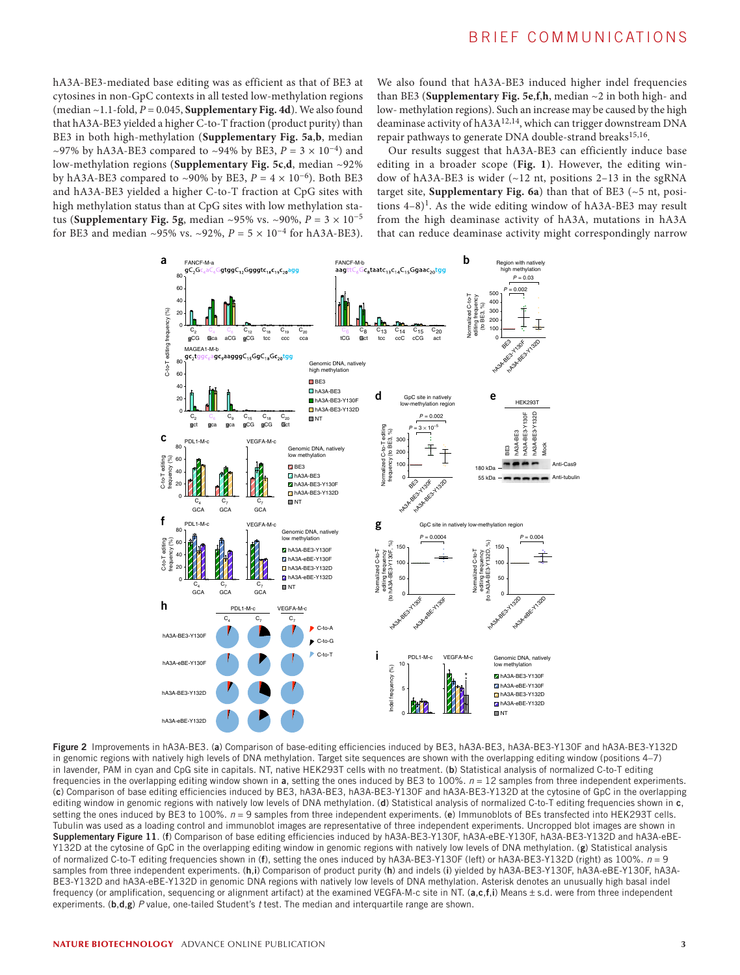## B R I E F COMMUNICATIONS

hA3A-BE3-mediated base editing was as efficient as that of BE3 at cytosines in non-GpC contexts in all tested low-methylation regions (median  $\sim$ 1.1-fold,  $P = 0.045$ , **Supplementary Fig. 4d**). We also found that hA3A-BE3 yielded a higher C-to-T fraction (product purity) than BE3 in both high-methylation (**Supplementary Fig. 5a**,**b**, median ~97% by hA3A-BE3 compared to ~94% by BE3, *P* = 3 × 10−4) and low-methylation regions (**Supplementary Fig. 5c**,**d**, median ~92% by hA3A-BE3 compared to ~90% by BE3,  $P = 4 \times 10^{-6}$ ). Both BE3 and hA3A-BE3 yielded a higher C-to-T fraction at CpG sites with high methylation status than at CpG sites with low methylation status (**Supplementary Fig. 5g**, median ~95% vs. ~90%,  $P = 3 \times 10^{-5}$ for BE3 and median ~95% vs. ~92%,  $P = 5 \times 10^{-4}$  for hA3A-BE3). We also found that hA3A-BE3 induced higher indel frequencies than BE3 (**Supplementary Fig. 5e**,**f**,**h**, median ~2 in both high- and low- methylation regions). Such an increase may be caused by the high deaminase activity of hA3A[12,](#page-3-7)[14](#page-3-9), which can trigger downstream DNA repair pathways to generate DNA double-strand breaks<sup>[15,](#page-3-10)16</sup>.

Our results suggest that hA3A-BE3 can efficiently induce base editing in a broader scope (**[Fig. 1](#page-1-0)**). However, the editing window of hA3A-BE3 is wider (~12 nt, positions 2–13 in the sgRNA target site, **Supplementary Fig. 6a**) than that of BE3 (~5 nt, positions  $4-8$ <sup>[1](#page-3-0)</sup>. As the wide editing window of hA3A-BE3 may result from the high deaminase activity of hA3A, mutations in hA3A that can reduce deaminase activity might correspondingly narrow



<span id="page-2-0"></span>Figure 2 Improvements in hA3A-BE3. (a) Comparison of base-editing efficiencies induced by BE3, hA3A-BE3, hA3A-BE3-Y130F and hA3A-BE3-Y132D in genomic regions with natively high levels of DNA methylation. Target site sequences are shown with the overlapping editing window (positions 4–7) in lavender, PAM in cyan and CpG site in capitals. NT, native HEK293T cells with no treatment. (b) Statistical analysis of normalized C-to-T editing frequencies in the overlapping editing window shown in a, setting the ones induced by BE3 to 100%.  $n = 12$  samples from three independent experiments. (c) Comparison of base editing efficiencies induced by BE3, hA3A-BE3, hA3A-BE3-Y130F and hA3A-BE3-Y132D at the cytosine of GpC in the overlapping editing window in genomic regions with natively low levels of DNA methylation. (d) Statistical analysis of normalized C-to-T editing frequencies shown in c, setting the ones induced by BE3 to 100%. *n* = 9 samples from three independent experiments. (e) Immunoblots of BEs transfected into HEK293T cells. Tubulin was used as a loading control and immunoblot images are representative of three independent experiments. Uncropped blot images are shown in Supplementary Figure 11. (f) Comparison of base editing efficiencies induced by hA3A-BE3-Y130F, hA3A-eBE-Y130F, hA3A-BE3-Y132D and hA3A-eBE-Y132D at the cytosine of GpC in the overlapping editing window in genomic regions with natively low levels of DNA methylation. (g) Statistical analysis of normalized C-to-T editing frequencies shown in (f), setting the ones induced by hA3A-BE3-Y130F (left) or hA3A-BE3-Y132D (right) as 100%. *n* = 9 samples from three independent experiments. (h,i) Comparison of product purity (h) and indels (i) yielded by hA3A-BE3-Y130F, hA3A-eBE-Y130F, hA3A-BE3-Y132D and hA3A-eBE-Y132D in genomic DNA regions with natively low levels of DNA methylation. Asterisk denotes an unusually high basal indel frequency (or amplification, sequencing or alignment artifact) at the examined VEGFA-M-c site in NT. (a,c,f,i) Means ± s.d. were from three independent experiments. (b,d,g) *P* value, one-tailed Student's *t* test. The median and interquartile range are shown.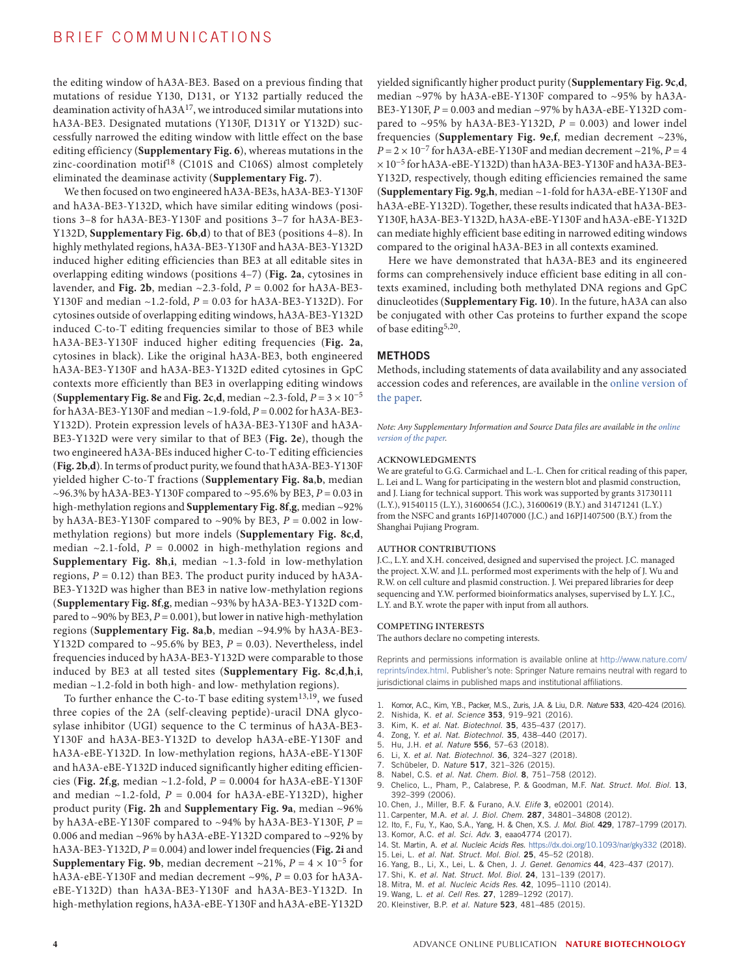# BRIEF COMMUNICATIONS

the editing window of hA3A-BE3. Based on a previous finding that mutations of residue Y130, D131, or Y132 partially reduced the deamination activity of hA3A[17](#page-3-12), we introduced similar mutations into hA3A-BE3. Designated mutations (Y130F, D131Y or Y132D) successfully narrowed the editing window with little effect on the base editing efficiency (**Supplementary Fig. 6**), whereas mutations in the zinc-coordination motif[18](#page-3-13) (C101S and C106S) almost completely eliminated the deaminase activity (**Supplementary Fig. 7**).

We then focused on two engineered hA3A-BE3s, hA3A-BE3-Y130F and hA3A-BE3-Y132D, which have similar editing windows (positions 3–8 for hA3A-BE3-Y130F and positions 3–7 for hA3A-BE3- Y132D, **Supplementary Fig. 6b**,**d**) to that of BE3 (positions 4–8). In highly methylated regions, hA3A-BE3-Y130F and hA3A-BE3-Y132D induced higher editing efficiencies than BE3 at all editable sites in overlapping editing windows (positions 4–7) (**[Fig. 2a](#page-2-0)**, cytosines in lavender, and **[Fig. 2b](#page-2-0)**, median ~2.3-fold, *P* = 0.002 for hA3A-BE3- Y130F and median  $\sim$ 1.2-fold,  $P = 0.03$  for hA3A-BE3-Y132D). For cytosines outside of overlapping editing windows, hA3A-BE3-Y132D induced C-to-T editing frequencies similar to those of BE3 while hA3A-BE3-Y130F induced higher editing frequencies (**[Fig. 2a](#page-2-0)**, cytosines in black). Like the original hA3A-BE3, both engineered hA3A-BE3-Y130F and hA3A-BE3-Y132D edited cytosines in GpC contexts more efficiently than BE3 in overlapping editing windows (**Supplementary Fig. 8e** and **[Fig. 2c](#page-2-0)**,**d**, median ~2.3-fold, *P* = 3 × 10−5 for hA3A-BE3-Y130F and median ~1.9-fold, *P* = 0.002 for hA3A-BE3- Y132D). Protein expression levels of hA3A-BE3-Y130F and hA3A-BE3-Y132D were very similar to that of BE3 (**[Fig. 2e](#page-2-0)**), though the two engineered hA3A-BEs induced higher C-to-T editing efficiencies (**[Fig. 2b](#page-2-0)**,**d**). In terms of product purity, we found that hA3A-BE3-Y130F yielded higher C-to-T fractions (**Supplementary Fig. 8a**,**b**, median ~96.3% by hA3A-BE3-Y130F compared to ~95.6% by BE3, *P* = 0.03 in high-methylation regions and **Supplementary Fig. 8f**,**g**, median ~92% by hA3A-BE3-Y130F compared to ~90% by BE3,  $P = 0.002$  in lowmethylation regions) but more indels (**Supplementary Fig. 8c**,**d**, median  $\sim$ 2.1-fold,  $P = 0.0002$  in high-methylation regions and **Supplementary Fig. 8h**,**i**, median ~1.3-fold in low-methylation regions,  $P = 0.12$ ) than BE3. The product purity induced by hA3A-BE3-Y132D was higher than BE3 in native low-methylation regions (**Supplementary Fig. 8f**,**g**, median ~93% by hA3A-BE3-Y132D compared to  $\sim$ 90% by BE3,  $P = 0.001$ ), but lower in native high-methylation regions (**Supplementary Fig. 8a**,**b**, median ~94.9% by hA3A-BE3- Y132D compared to ~95.6% by BE3,  $P = 0.03$ ). Nevertheless, indel frequencies induced by hA3A-BE3-Y132D were comparable to those induced by BE3 at all tested sites (**Supplementary Fig. 8c**,**d**,**h**,**i**, median ~1.2-fold in both high- and low- methylation regions).

To further enhance the C-to-T base editing system<sup>[13,](#page-3-8)[19](#page-3-14)</sup>, we fused three copies of the 2A (self-cleaving peptide)-uracil DNA glycosylase inhibitor (UGI) sequence to the C terminus of hA3A-BE3- Y130F and hA3A-BE3-Y132D to develop hA3A-eBE-Y130F and hA3A-eBE-Y132D. In low-methylation regions, hA3A-eBE-Y130F and hA3A-eBE-Y132D induced significantly higher editing efficiencies (**[Fig. 2f](#page-2-0)**,**g**, median ~1.2-fold, *P* = 0.0004 for hA3A-eBE-Y130F and median  $\sim$ 1.2-fold,  $P = 0.004$  for hA3A-eBE-Y132D), higher product purity (**[Fig. 2h](#page-2-0)** and **Supplementary Fig. 9a**, median ~96% by hA3A-eBE-Y130F compared to  $\sim$ 94% by hA3A-BE3-Y130F,  $P =$ 0.006 and median ~96% by hA3A-eBE-Y132D compared to ~92% by hA3A-BE3-Y132D, *P* = 0.004) and lower indel frequencies (**[Fig. 2i](#page-2-0)** and **Supplementary Fig. 9b**, median decrement ~21%,  $P = 4 \times 10^{-5}$  for hA3A-eBE-Y130F and median decrement  $\sim$ 9%,  $P = 0.03$  for hA3AeBE-Y132D) than hA3A-BE3-Y130F and hA3A-BE3-Y132D. In high-methylation regions, hA3A-eBE-Y130F and hA3A-eBE-Y132D

yielded significantly higher product purity (**Supplementary Fig. 9c**,**d**, median ~97% by hA3A-eBE-Y130F compared to ~95% by hA3A-BE3-Y130F, *P* = 0.003 and median ~97% by hA3A-eBE-Y132D compared to  $\sim$ 95% by hA3A-BE3-Y132D,  $P = 0.003$ ) and lower indel frequencies (**Supplementary Fig. 9e**,**f**, median decrement ~23%, *P* = 2 × 10−7 for hA3A-eBE-Y130F and median decrement ~21%, *P* = 4 × 10−5 for hA3A-eBE-Y132D) than hA3A-BE3-Y130F and hA3A-BE3- Y132D, respectively, though editing efficiencies remained the same (**Supplementary Fig. 9g**,**h**, median ~1-fold for hA3A-eBE-Y130F and hA3A-eBE-Y132D). Together, these results indicated that hA3A-BE3- Y130F, hA3A-BE3-Y132D, hA3A-eBE-Y130F and hA3A-eBE-Y132D can mediate highly efficient base editing in narrowed editing windows compared to the original hA3A-BE3 in all contexts examined.

Here we have demonstrated that hA3A-BE3 and its engineered forms can comprehensively induce efficient base editing in all contexts examined, including both methylated DNA regions and GpC dinucleotides (**Supplementary Fig. 10**). In the future, hA3A can also be conjugated with other Cas proteins to further expand the scope of base editing[5,](#page-3-15)[20.](#page-3-16)

### **METHODS**

Methods, including statements of data availability and any associated accession codes and references, are available in the online [version](http://dx.doi.org/10.1038/nbt.4198) of the [paper.](http://dx.doi.org/10.1038/nbt.4198)

*Note: Any Supplementary Information and Source Data files are available in the [online](http://dx.doi.org/10.1038/nbt.4198) [version](http://dx.doi.org/10.1038/nbt.4198) of the paper.*

### **Acknowledgments**

We are grateful to G.G. Carmichael and L.-L. Chen for critical reading of this paper, L. Lei and L. Wang for participating in the western blot and plasmid construction, and J. Liang for technical support. This work was supported by grants 31730111 (L.Y.), 91540115 (L.Y.), 31600654 (J.C.), 31600619 (B.Y.) and 31471241 (L.Y.) from the NSFC and grants 16PJ1407000 (J.C.) and 16PJ1407500 (B.Y.) from the Shanghai Pujiang Program.

### **AUTHOR CONTRIBUTIONS**

J.C., L.Y. and X.H. conceived, designed and supervised the project. J.C. managed the project. X.W. and J.L. performed most experiments with the help of J. Wu and R.W. on cell culture and plasmid construction. J. Wei prepared libraries for deep sequencing and Y.W. performed bioinformatics analyses, supervised by L.Y. J.C., L.Y. and B.Y. wrote the paper with input from all authors.

### **COMPETING INTERESTS**

The authors declare no competing interests.

Reprints and permissions information is available online at [http://www.nature.com/](http://www.nature.com/reprints/index.html) [reprints/index.html.](http://www.nature.com/reprints/index.html) Publisher's note: Springer Nature remains neutral with regard to jurisdictional claims in published maps and institutional affiliations.

- <span id="page-3-0"></span>1. Komor, A.C., Kim, Y.B., Packer, M.S., Zuris, J.A. & Liu, D.R. *Nature* 533, 420–424 (2016).
- 2. Nishida, K. *et al. Science* 353, 919–921 (2016).
- 3. Kim, K. *et al. Nat. Biotechnol.* 35, 435–437 (2017).
- 4. Zong, Y. *et al. Nat. Biotechnol.* 35, 438–440 (2017).
- <span id="page-3-1"></span>
- <span id="page-3-15"></span>5. Hu, J.H. *et al. Nature* 556, 57–63 (2018). 6. Li, X. *et al. Nat. Biotechnol.* 36, 324–327 (2018).
- <span id="page-3-2"></span>7. Schübeler, D. *Nature* 517, 321–326 (2015).
- <span id="page-3-3"></span>8. Nabel, C.S. *et al. Nat. Chem. Biol.* 8, 751–758 (2012).
- <span id="page-3-4"></span>9. Chelico, L., Pham, P., Calabrese, P. & Goodman, M.F. *Nat. Struct. Mol. Biol.* 13, 392–399 (2006).
- <span id="page-3-5"></span>10. Chen, J., Miller, B.F. & Furano, A.V. *Elife* 3, e02001 (2014).
- <span id="page-3-6"></span>11. Carpenter, M.A. *et al. J. Biol. Chem.* 287, 34801–34808 (2012).
- <span id="page-3-7"></span>12. Ito, F., Fu, Y., Kao, S.A., Yang, H. & Chen, X.S. *J. Mol. Biol.* 429, 1787–1799 (2017).
- <span id="page-3-8"></span>13. Komor, A.C. *et al. Sci. Adv.* 3, eaao4774 (2017).
- <span id="page-3-9"></span>14. St. Martin, A. *et al. Nucleic Acids Res.* <https://dx.doi.org/10.1093/nar/gky332> (2018).
- <span id="page-3-10"></span>15. Lei, L. *et al. Nat. Struct. Mol. Biol.* 25, 45–52 (2018).
- <span id="page-3-11"></span>16. Yang, B., Li, X., Lei, L. & Chen, J. *J. Genet. Genomics* 44, 423–437 (2017).
- <span id="page-3-12"></span>17. Shi, K. *et al. Nat. Struct. Mol. Biol.* 24, 131–139 (2017).
- <span id="page-3-13"></span>18. Mitra, M. *et al. Nucleic Acids Res.* 42, 1095–1110 (2014).
- <span id="page-3-14"></span>19. Wang, L. *et al. Cell Res.* 27, 1289–1292 (2017).
- <span id="page-3-16"></span>20. Kleinstiver, B.P. *et al. Nature* 523, 481–485 (2015).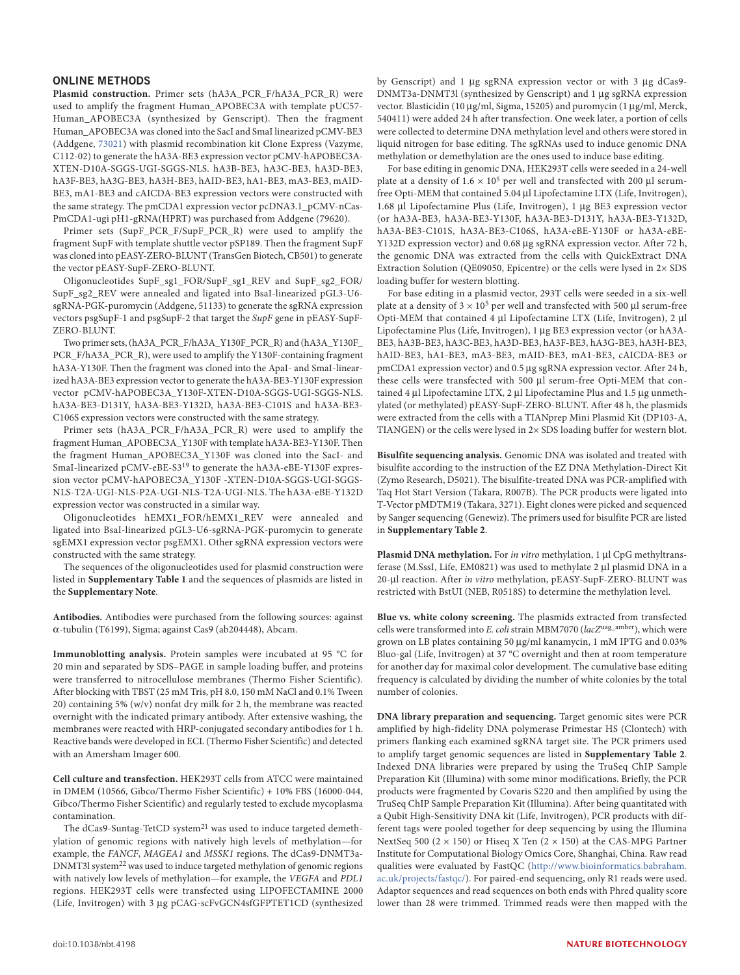### ONLINE METHODS

**Plasmid construction.** Primer sets (hA3A\_PCR\_F/hA3A\_PCR\_R) were used to amplify the fragment Human\_APOBEC3A with template pUC57- Human\_APOBEC3A (synthesized by Genscript). Then the fragment Human\_APOBEC3A was cloned into the SacI and SmaI linearized pCMV-BE3 (Addgene, [73021\)](https://www.addgene.org/73021/) with plasmid recombination kit Clone Express (Vazyme, C112-02) to generate the hA3A-BE3 expression vector pCMV-hAPOBEC3A-XTEN-D10A-SGGS-UGI-SGGS-NLS. hA3B-BE3, hA3C-BE3, hA3D-BE3, hA3F-BE3, hA3G-BE3, hA3H-BE3, hAID-BE3, hA1-BE3, mA3-BE3, mAID-BE3, mA1-BE3 and cAICDA-BE3 expression vectors were constructed with the same strategy. The pmCDA1 expression vector pcDNA3.1\_pCMV-nCas-PmCDA1-ugi pH1-gRNA(HPRT) was purchased from Addgene (79620).

Primer sets (SupF\_PCR\_F/SupF\_PCR\_R) were used to amplify the fragment SupF with template shuttle vector pSP189. Then the fragment SupF was cloned into pEASY-ZERO-BLUNT (TransGen Biotech, CB501) to generate the vector pEASY-SupF-ZERO-BLUNT.

Oligonucleotides SupF\_sg1\_FOR/SupF\_sg1\_REV and SupF\_sg2\_FOR/ SupF\_sg2\_REV were annealed and ligated into BsaI-linearized pGL3-U6 sgRNA-PGK-puromycin (Addgene, 51133) to generate the sgRNA expression vectors psgSupF-1 and psgSupF-2 that target the *SupF* gene in pEASY-SupF-ZERO-BLUNT.

Two primer sets, (hA3A\_PCR\_F/hA3A\_Y130F\_PCR\_R) and (hA3A\_Y130F\_ PCR\_F/hA3A\_PCR\_R), were used to amplify the Y130F-containing fragment hA3A-Y130F. Then the fragment was cloned into the ApaI- and SmaI-linearized hA3A-BE3 expression vector to generate the hA3A-BE3-Y130F expression vector pCMV-hAPOBEC3A\_Y130F-XTEN-D10A-SGGS-UGI-SGGS-NLS. hA3A-BE3-D131Y, hA3A-BE3-Y132D, hA3A-BE3-C101S and hA3A-BE3- C106S expression vectors were constructed with the same strategy.

Primer sets (hA3A\_PCR\_F/hA3A\_PCR\_R) were used to amplify the fragment Human\_APOBEC3A\_Y130F with template hA3A-BE3-Y130F. Then the fragment Human\_APOBEC3A\_Y130F was cloned into the SacI- and SmaI-linearized pCMV-eBE-S3[19](#page-3-14) to generate the hA3A-eBE-Y130F expression vector pCMV-hAPOBEC3A\_Y130F -XTEN-D10A-SGGS-UGI-SGGS-NLS-T2A-UGI-NLS-P2A-UGI-NLS-T2A-UGI-NLS. The hA3A-eBE-Y132D expression vector was constructed in a similar way.

Oligonucleotides hEMX1\_FOR/hEMX1\_REV were annealed and ligated into BsaI-linearized pGL3-U6-sgRNA-PGK-puromycin to generate sgEMX1 expression vector psgEMX1. Other sgRNA expression vectors were constructed with the same strategy.

The sequences of the oligonucleotides used for plasmid construction were listed in **Supplementary Table 1** and the sequences of plasmids are listed in the **Supplementary Note**.

**Antibodies.** Antibodies were purchased from the following sources: against α-tubulin (T6199), Sigma; against Cas9 (ab204448), Abcam.

**Immunoblotting analysis.** Protein samples were incubated at 95 °C for 20 min and separated by SDS–PAGE in sample loading buffer, and proteins were transferred to nitrocellulose membranes (Thermo Fisher Scientific). After blocking with TBST (25 mM Tris, pH 8.0, 150 mM NaCl and 0.1% Tween 20) containing 5% (w/v) nonfat dry milk for 2 h, the membrane was reacted overnight with the indicated primary antibody. After extensive washing, the membranes were reacted with HRP-conjugated secondary antibodies for 1 h. Reactive bands were developed in ECL (Thermo Fisher Scientific) and detected with an Amersham Imager 600.

**Cell culture and transfection.** HEK293T cells from ATCC were maintained in DMEM (10566, Gibco/Thermo Fisher Scientific) + 10% FBS (16000-044, Gibco/Thermo Fisher Scientific) and regularly tested to exclude mycoplasma contamination.

The dCas9-Suntag-TetCD system<sup>[21](#page-5-0)</sup> was used to induce targeted demethylation of genomic regions with natively high levels of methylation—for example, the *FANCF*, *MAGEA1* and *MSSK1* regions. The dCas9-DNMT3a-DNMT3l system<sup>[22](#page-5-1)</sup> was used to induce targeted methylation of genomic regions with natively low levels of methylation—for example, the *VEGFA* and *PDL1* regions. HEK293T cells were transfected using LIPOFECTAMINE 2000 (Life, Invitrogen) with 3 µg pCAG-scFvGCN4sfGFPTET1CD (synthesized by Genscript) and 1 µg sgRNA expression vector or with 3 µg dCas9- DNMT3a-DNMT3l (synthesized by Genscript) and 1 µg sgRNA expression vector. Blasticidin (10 µg/ml, Sigma, 15205) and puromycin (1 µg/ml, Merck, 540411) were added 24 h after transfection. One week later, a portion of cells were collected to determine DNA methylation level and others were stored in liquid nitrogen for base editing. The sgRNAs used to induce genomic DNA methylation or demethylation are the ones used to induce base editing.

For base editing in genomic DNA, HEK293T cells were seeded in a 24-well plate at a density of  $1.6 \times 10^5$  per well and transfected with 200 µl serumfree Opti-MEM that contained 5.04 µl Lipofectamine LTX (Life, Invitrogen), 1.68 µl Lipofectamine Plus (Life, Invitrogen), 1 µg BE3 expression vector (or hA3A-BE3, hA3A-BE3-Y130F, hA3A-BE3-D131Y, hA3A-BE3-Y132D, hA3A-BE3-C101S, hA3A-BE3-C106S, hA3A-eBE-Y130F or hA3A-eBE-Y132D expression vector) and 0.68 µg sgRNA expression vector. After 72 h, the genomic DNA was extracted from the cells with QuickExtract DNA Extraction Solution (QE09050, Epicentre) or the cells were lysed in 2× SDS loading buffer for western blotting.

For base editing in a plasmid vector, 293T cells were seeded in a six-well plate at a density of  $3 \times 10^5$  per well and transfected with 500 µl serum-free Opti-MEM that contained 4 µl Lipofectamine LTX (Life, Invitrogen), 2 µl Lipofectamine Plus (Life, Invitrogen), 1 µg BE3 expression vector (or hA3A-BE3, hA3B-BE3, hA3C-BE3, hA3D-BE3, hA3F-BE3, hA3G-BE3, hA3H-BE3, hAID-BE3, hA1-BE3, mA3-BE3, mAID-BE3, mA1-BE3, cAICDA-BE3 or pmCDA1 expression vector) and 0.5 µg sgRNA expression vector. After 24 h, these cells were transfected with 500 µl serum-free Opti-MEM that contained 4 µl Lipofectamine LTX, 2 µl Lipofectamine Plus and 1.5 µg unmethylated (or methylated) pEASY-SupF-ZERO-BLUNT. After 48 h, the plasmids were extracted from the cells with a TIANprep Mini Plasmid Kit (DP103-A, TIANGEN) or the cells were lysed in  $2\times$  SDS loading buffer for western blot.

**Bisulfite sequencing analysis.** Genomic DNA was isolated and treated with bisulfite according to the instruction of the EZ DNA Methylation-Direct Kit (Zymo Research, D5021). The bisulfite-treated DNA was PCR-amplified with Taq Hot Start Version (Takara, R007B). The PCR products were ligated into T-Vector pMDTM19 (Takara, 3271). Eight clones were picked and sequenced by Sanger sequencing (Genewiz). The primers used for bisulfite PCR are listed in **Supplementary Table 2**.

**Plasmid DNA methylation.** For *in vitro* methylation, 1 µl CpG methyltransferase (M.SssI, Life, EM0821) was used to methylate 2 µl plasmid DNA in a 20-µl reaction. After *in vitro* methylation, pEASY-SupF-ZERO-BLUNT was restricted with BstUI (NEB, R0518S) to determine the methylation level.

**Blue vs. white colony screening.** The plasmids extracted from transfected cells were transformed into *E. coli* strain MBM7070 (*lacZ*uag\_amber), which were grown on LB plates containing 50 µg/ml kanamycin, 1 mM IPTG and 0.03% Bluo-gal (Life, Invitrogen) at 37 °C overnight and then at room temperature for another day for maximal color development. The cumulative base editing frequency is calculated by dividing the number of white colonies by the total number of colonies.

**DNA library preparation and sequencing.** Target genomic sites were PCR amplified by high-fidelity DNA polymerase Primestar HS (Clontech) with primers flanking each examined sgRNA target site. The PCR primers used to amplify target genomic sequences are listed in **Supplementary Table 2**. Indexed DNA libraries were prepared by using the TruSeq ChIP Sample Preparation Kit (Illumina) with some minor modifications. Briefly, the PCR products were fragmented by Covaris S220 and then amplified by using the TruSeq ChIP Sample Preparation Kit (Illumina). After being quantitated with a Qubit High-Sensitivity DNA kit (Life, Invitrogen), PCR products with different tags were pooled together for deep sequencing by using the Illumina NextSeq 500 ( $2 \times 150$ ) or Hiseq X Ten ( $2 \times 150$ ) at the CAS-MPG Partner Institute for Computational Biology Omics Core, Shanghai, China. Raw read qualities were evaluated by FastQC ([http://www.bioinformatics.babraham.](http://www.bioinformatics.babraham.ac.uk/projects/fastqc/) [ac.uk/projects/fastqc/\)](http://www.bioinformatics.babraham.ac.uk/projects/fastqc/). For paired-end sequencing, only R1 reads were used. Adaptor sequences and read sequences on both ends with Phred quality score lower than 28 were trimmed. Trimmed reads were then mapped with the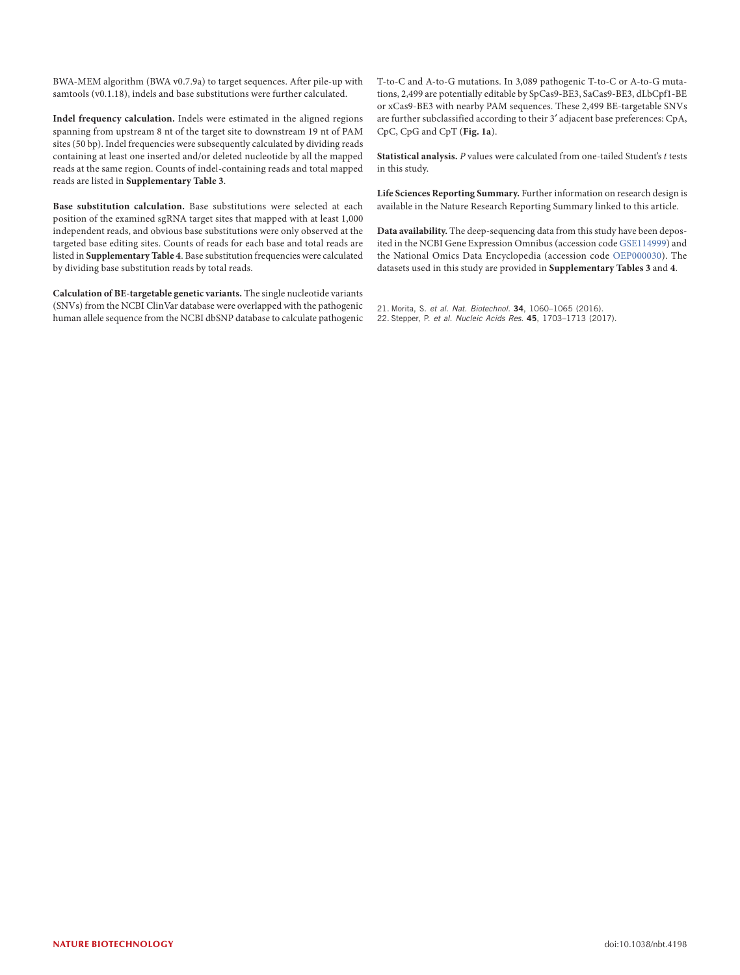BWA-MEM algorithm (BWA v0.7.9a) to target sequences. After pile-up with samtools (v0.1.18), indels and base substitutions were further calculated.

**Indel frequency calculation.** Indels were estimated in the aligned regions spanning from upstream 8 nt of the target site to downstream 19 nt of PAM sites (50 bp). Indel frequencies were subsequently calculated by dividing reads containing at least one inserted and/or deleted nucleotide by all the mapped reads at the same region. Counts of indel-containing reads and total mapped reads are listed in **Supplementary Table 3**.

**Base substitution calculation.** Base substitutions were selected at each position of the examined sgRNA target sites that mapped with at least 1,000 independent reads, and obvious base substitutions were only observed at the targeted base editing sites. Counts of reads for each base and total reads are listed in **Supplementary Table 4**. Base substitution frequencies were calculated by dividing base substitution reads by total reads.

**Calculation of BE-targetable genetic variants.** The single nucleotide variants (SNVs) from the NCBI ClinVar database were overlapped with the pathogenic human allele sequence from the NCBI dbSNP database to calculate pathogenic T-to-C and A-to-G mutations. In 3,089 pathogenic T-to-C or A-to-G mutations, 2,499 are potentially editable by SpCas9-BE3, SaCas9-BE3, dLbCpf1-BE or xCas9-BE3 with nearby PAM sequences. These 2,499 BE-targetable SNVs are further subclassified according to their 3′ adjacent base preferences: CpA, CpC, CpG and CpT (**[Fig. 1a](#page-1-0)**).

**Statistical analysis.** *P* values were calculated from one-tailed Student's *t* tests in this study.

**Life Sciences Reporting Summary.** Further information on research design is available in the Nature Research Reporting Summary linked to this article.

**Data availability.** The deep-sequencing data from this study have been deposited in the NCBI Gene Expression Omnibus (accession code [GSE114999\)](http://www.ncbi.nlm.nih.gov/geo/query/acc.cgi?acc=GSE114999) and the National Omics Data Encyclopedia (accession code [OEP000030](http://www.biosino.org/node/project/detail/OEP000030 )). The datasets used in this study are provided in **Supplementary Tables 3** and **4**.

- <span id="page-5-0"></span>21. Morita, S. *et al. Nat. Biotechnol.* 34, 1060–1065 (2016).
- <span id="page-5-1"></span>22. Stepper, P. *et al. Nucleic Acids Res.* 45, 1703–1713 (2017).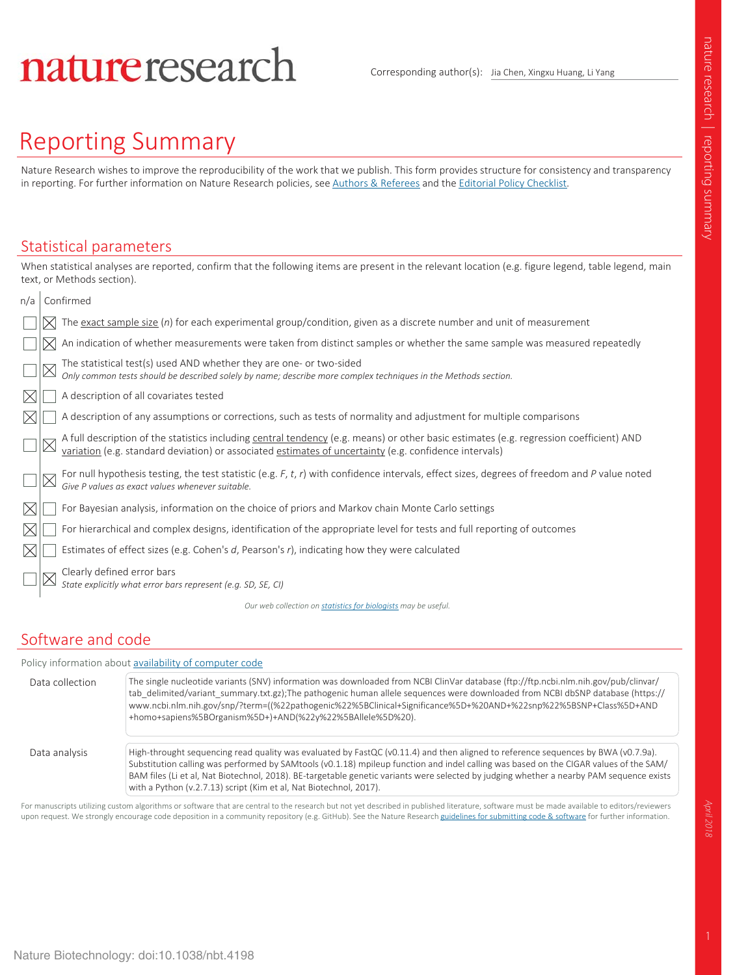# natureresearch

Corresponding author(s): Jia Chen, Xingxu Huang, Li Yang

# Reporting Summary

Nature Research wishes to improve the reproducibility of the work that we publish. This form provides structure for consistency and transparency in reporting. For further information on Nature Research policies, see Authors & Referees and the Editorial Policy Checklist.

# Statistical parameters

When statistical analyses are reported, confirm that the following items are present in the relevant location (e.g. figure legend, table legend, main text, or Methods section).

| n/a            | Confirmed                                                                                                                                                                                                                                         |
|----------------|---------------------------------------------------------------------------------------------------------------------------------------------------------------------------------------------------------------------------------------------------|
|                | The exact sample size (n) for each experimental group/condition, given as a discrete number and unit of measurement                                                                                                                               |
|                | An indication of whether measurements were taken from distinct samples or whether the same sample was measured repeatedly                                                                                                                         |
|                | The statistical test(s) used AND whether they are one- or two-sided<br>Only common tests should be described solely by name; describe more complex techniques in the Methods section.                                                             |
|                | A description of all covariates tested                                                                                                                                                                                                            |
|                | A description of any assumptions or corrections, such as tests of normality and adjustment for multiple comparisons                                                                                                                               |
|                | A full description of the statistics including central tendency (e.g. means) or other basic estimates (e.g. regression coefficient) AND<br>variation (e.g. standard deviation) or associated estimates of uncertainty (e.g. confidence intervals) |
|                | For null hypothesis testing, the test statistic (e.g. F, t, r) with confidence intervals, effect sizes, degrees of freedom and P value noted<br>Give P values as exact values whenever suitable.                                                  |
| $\bar{\times}$ | For Bayesian analysis, information on the choice of priors and Markov chain Monte Carlo settings                                                                                                                                                  |
| $\times$       | For hierarchical and complex designs, identification of the appropriate level for tests and full reporting of outcomes                                                                                                                            |
| $\times$       | Estimates of effect sizes (e.g. Cohen's d, Pearson's r), indicating how they were calculated                                                                                                                                                      |
|                | Clearly defined error bars<br>State explicitly what error bars represent (e.g. SD, SE, CI)                                                                                                                                                        |

*Our web collection on statistics for biologists may be useful.*

# Software and code

|                 | Policy information about availability of computer code                                                                                                                                                                                                                                                                                                                                                                                                  |
|-----------------|---------------------------------------------------------------------------------------------------------------------------------------------------------------------------------------------------------------------------------------------------------------------------------------------------------------------------------------------------------------------------------------------------------------------------------------------------------|
| Data collection | The single nucleotide variants (SNV) information was downloaded from NCBI ClinVar database (ftp://ftp.ncbi.nlm.nih.gov/pub/clinvar/<br>tab_delimited/variant_summary.txt.gz);The pathogenic human allele sequences were downloaded from NCBI dbSNP database (https://<br>www.ncbi.nlm.nih.gov/snp/?term=((%22pathogenic%22%5BClinical+Significance%5D+%20AND+%22snp%22%5BSNP+Class%5D+AND<br>+homo+sapiens%5BOrganism%5D+)+AND(%22y%22%5BAllele%5D%20). |
| Data analysis   | High-throught sequencing read quality was evaluated by FastQC (v0.11.4) and then aligned to reference sequences by BWA (v0.7.9a).                                                                                                                                                                                                                                                                                                                       |
|                 | Substitution calling was performed by SAMtools (v0.1.18) mpileup function and indel calling was based on the CIGAR values of the SAM/<br>BAM files (Li et al, Nat Biotechnol, 2018). BE-targetable genetic variants were selected by judging whether a nearby PAM sequence exists<br>with a Python (v.2.7.13) script (Kim et al, Nat Biotechnol, 2017).                                                                                                 |

For manuscripts utilizing custom algorithms or software that are central to the research but not yet described in published literature, software must be made available to editors/reviewers upon request. We strongly encourage code deposition in a community repository (e.g. GitHub). See the Nature Research guidelines for submitting code & software for further information.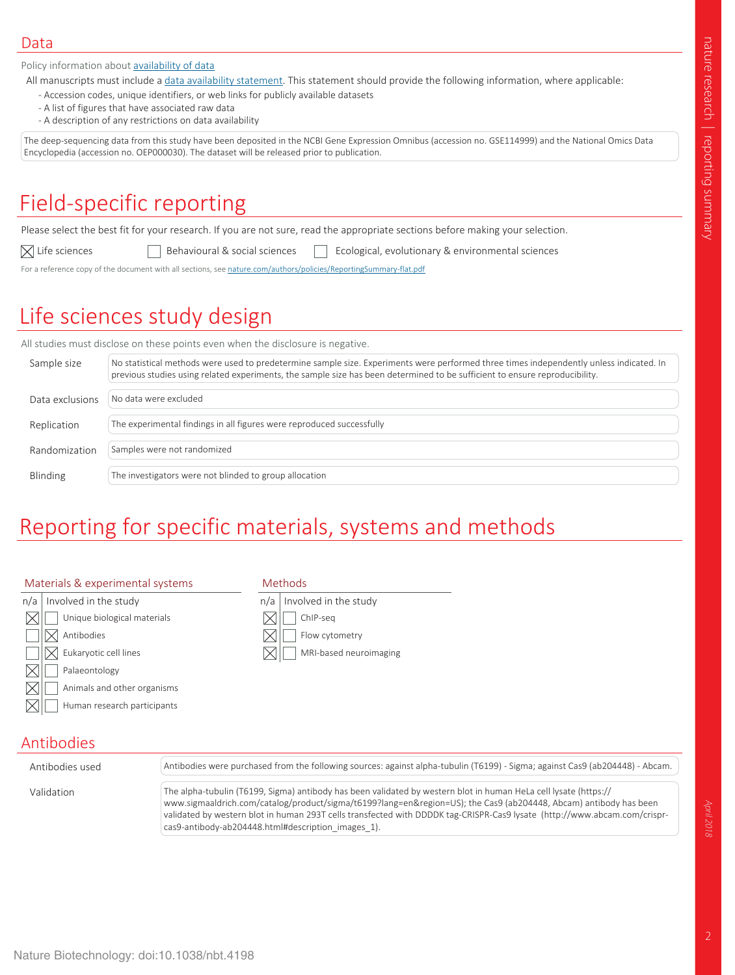Policy information about availability of data

All manuscripts must include a data availability statement. This statement should provide the following information, where applicable:

- Accession codes, unique identifiers, or web links for publicly available datasets
- A list of figures that have associated raw data
- A description of any restrictions on data availability

The deep-sequencing data from this study have been deposited in the NCBI Gene Expression Omnibus (accession no. GSE114999) and the National Omics Data Encyclopedia (accession no. OEP000030). The dataset will be released prior to publication.

# Field-specific reporting

Please select the best fit for your research. If you are not sure, read the appropriate sections before making your selection.

 $\boxtimes$  Life sciences  $\Box$  Behavioural & social sciences  $\Box$  Ecological, evolutionary & environmental sciences

For a reference copy of the document with all sections, see nature.com/authors/policies/ReportingSummary-flat.pdf

# Life sciences study design

All studies must disclose on these points even when the disclosure is negative.

| Sample size     | No statistical methods were used to predetermine sample size. Experiments were performed three times independently unless indicated. In<br>previous studies using related experiments, the sample size has been determined to be sufficient to ensure reproducibility. |
|-----------------|------------------------------------------------------------------------------------------------------------------------------------------------------------------------------------------------------------------------------------------------------------------------|
| Data exclusions | No data were excluded                                                                                                                                                                                                                                                  |
| Replication     | The experimental findings in all figures were reproduced successfully                                                                                                                                                                                                  |
| Randomization   | Samples were not randomized                                                                                                                                                                                                                                            |
| Blinding        | The investigators were not blinded to group allocation                                                                                                                                                                                                                 |

# Reporting for specific materials, systems and methods

### Materials & experimental systems **Methods**  $n/a$  | Involved in the study  $n/a$  Involved in the study  $\boxtimes$ Unique biological materials  $\boxtimes$ ChIP-seq  $|\nabla|$  Antibodies  $\boxtimes$ Flow cytometry  $\boxtimes$ Eukaryotic cell lines MRI-based neuroimaging  $\boxtimes$ Palaeontology  $\boxtimes$ Animals and other organisms  $\boxtimes$ Human research participants

# Antibodies

| Antibodies used | Antibodies were purchased from the following sources: against alpha-tubulin (T6199) - Sigma; against Cas9 (ab204448) - Abcam.                                                                                                                                                                                                                                                                                            |
|-----------------|--------------------------------------------------------------------------------------------------------------------------------------------------------------------------------------------------------------------------------------------------------------------------------------------------------------------------------------------------------------------------------------------------------------------------|
| Validation      | The alpha-tubulin (T6199, Sigma) antibody has been validated by western blot in human HeLa cell lysate (https://<br>www.sigmaaldrich.com/catalog/product/sigma/t6199?lang=en&region=US); the Cas9 (ab204448, Abcam) antibody has been<br>validated by western blot in human 293T cells transfected with DDDDK tag-CRISPR-Cas9 lysate (http://www.abcam.com/crispr-<br>cas9-antibody-ab204448.html#description images 1). |